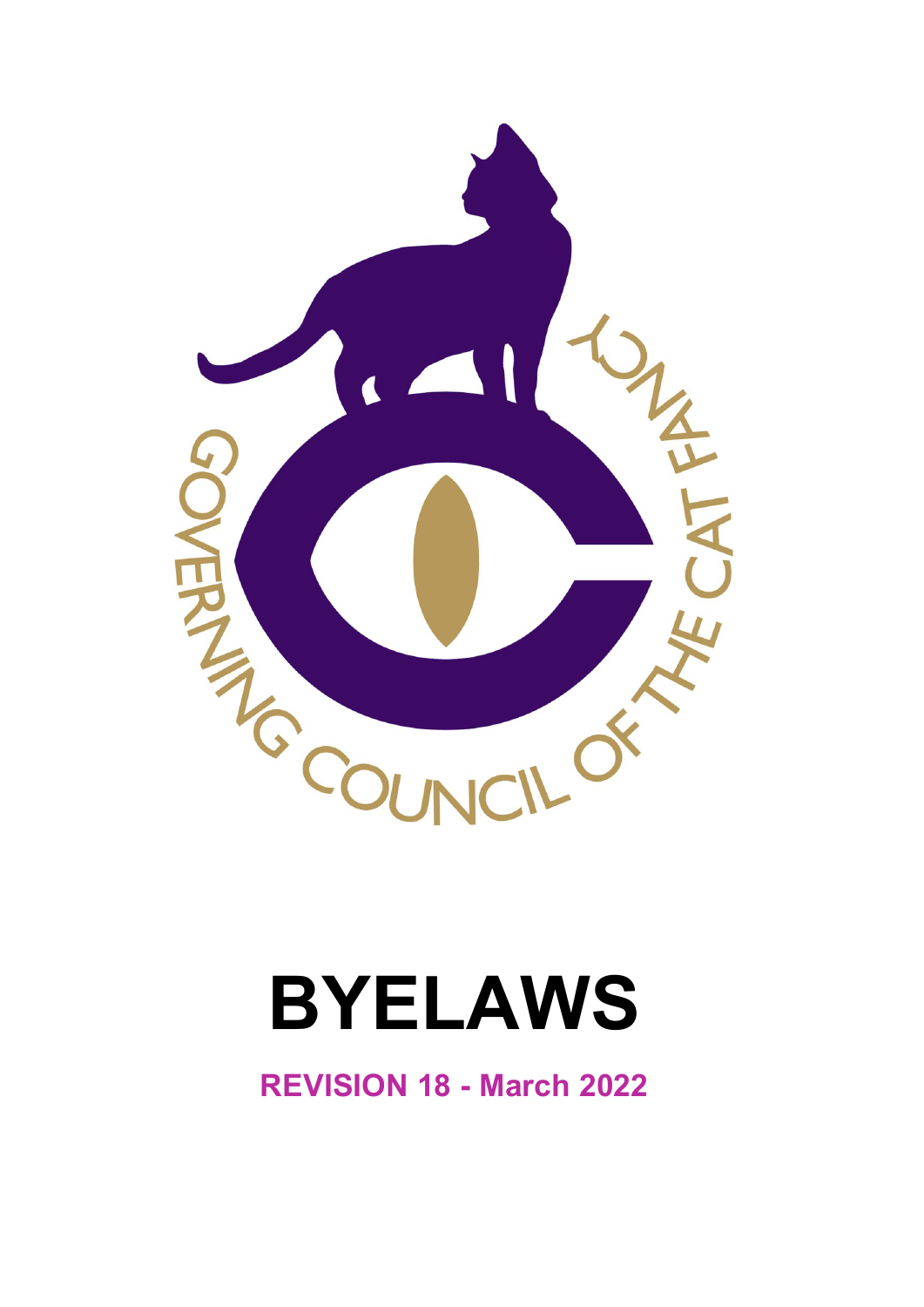

# **BYELAWS**

**REVISION 18 - March 2022**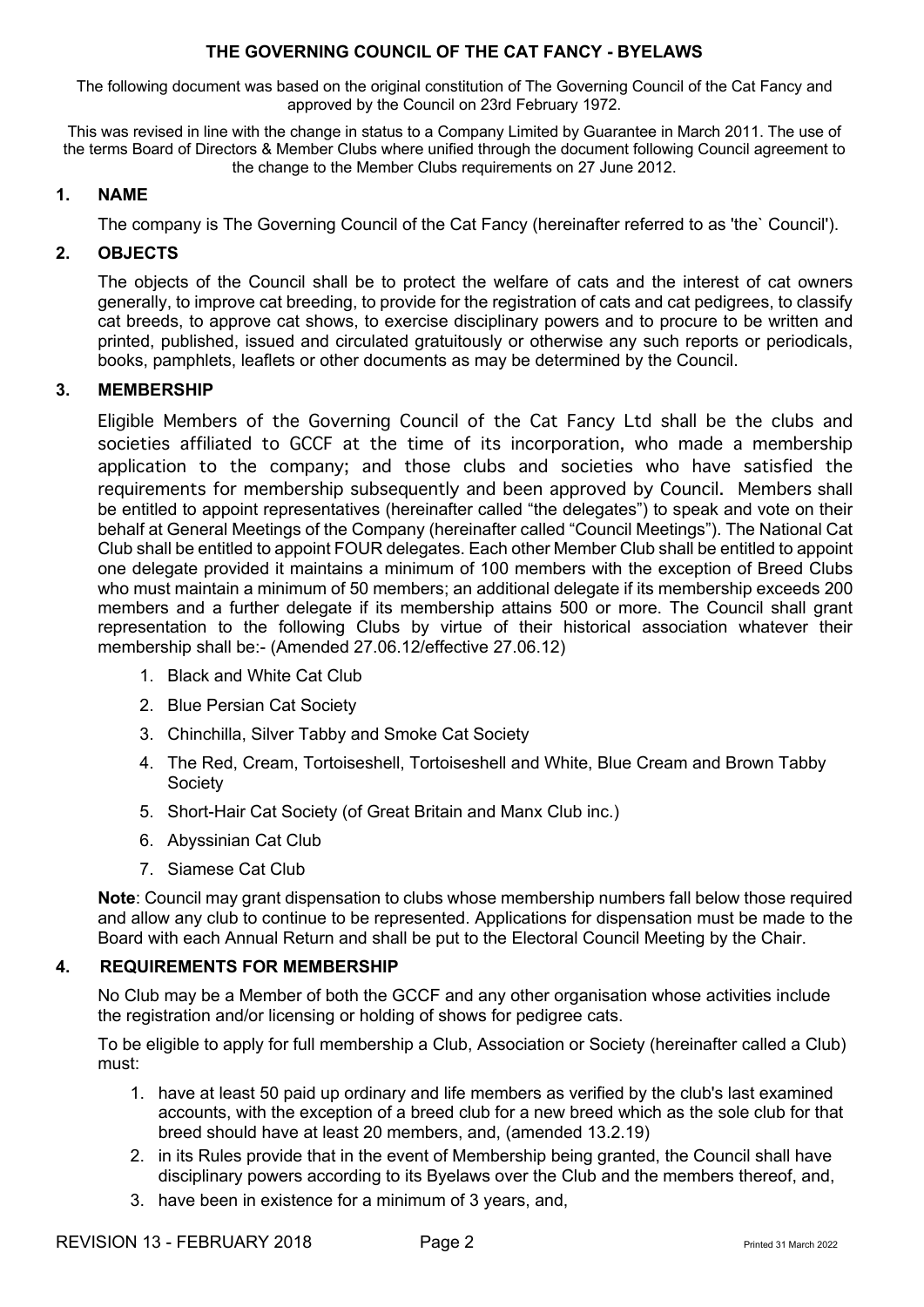The following document was based on the original constitution of The Governing Council of the Cat Fancy and approved by the Council on 23rd February 1972.

This was revised in line with the change in status to a Company Limited by Guarantee in March 2011. The use of the terms Board of Directors & Member Clubs where unified through the document following Council agreement to the change to the Member Clubs requirements on 27 June 2012.

## **1. NAME**

The company is The Governing Council of the Cat Fancy (hereinafter referred to as 'the` Council').

# **2. OBJECTS**

The objects of the Council shall be to protect the welfare of cats and the interest of cat owners generally, to improve cat breeding, to provide for the registration of cats and cat pedigrees, to classify cat breeds, to approve cat shows, to exercise disciplinary powers and to procure to be written and printed, published, issued and circulated gratuitously or otherwise any such reports or periodicals, books, pamphlets, leaflets or other documents as may be determined by the Council.

# **3. MEMBERSHIP**

Eligible Members of the Governing Council of the Cat Fancy Ltd shall be the clubs and societies affiliated to GCCF at the time of its incorporation, who made a membership application to the company; and those clubs and societies who have satisfied the requirements for membership subsequently and been approved by Council. Members shall be entitled to appoint representatives (hereinafter called "the delegates") to speak and vote on their behalf at General Meetings of the Company (hereinafter called "Council Meetings"). The National Cat Club shall be entitled to appoint FOUR delegates. Each other Member Club shall be entitled to appoint one delegate provided it maintains a minimum of 100 members with the exception of Breed Clubs who must maintain a minimum of 50 members; an additional delegate if its membership exceeds 200 members and a further delegate if its membership attains 500 or more. The Council shall grant representation to the following Clubs by virtue of their historical association whatever their membership shall be:- (Amended 27.06.12/effective 27.06.12)

- 1. Black and White Cat Club
- 2. Blue Persian Cat Society
- 3. Chinchilla, Silver Tabby and Smoke Cat Society
- 4. The Red, Cream, Tortoiseshell, Tortoiseshell and White, Blue Cream and Brown Tabby **Society**
- 5. Short-Hair Cat Society (of Great Britain and Manx Club inc.)
- 6. Abyssinian Cat Club
- 7. Siamese Cat Club

**Note**: Council may grant dispensation to clubs whose membership numbers fall below those required and allow any club to continue to be represented. Applications for dispensation must be made to the Board with each Annual Return and shall be put to the Electoral Council Meeting by the Chair.

#### **4. REQUIREMENTS FOR MEMBERSHIP**

No Club may be a Member of both the GCCF and any other organisation whose activities include the registration and/or licensing or holding of shows for pedigree cats.

To be eligible to apply for full membership a Club, Association or Society (hereinafter called a Club) must:

- 1. have at least 50 paid up ordinary and life members as verified by the club's last examined accounts, with the exception of a breed club for a new breed which as the sole club for that breed should have at least 20 members, and, (amended 13.2.19)
- 2. in its Rules provide that in the event of Membership being granted, the Council shall have disciplinary powers according to its Byelaws over the Club and the members thereof, and,
- 3. have been in existence for a minimum of 3 years, and,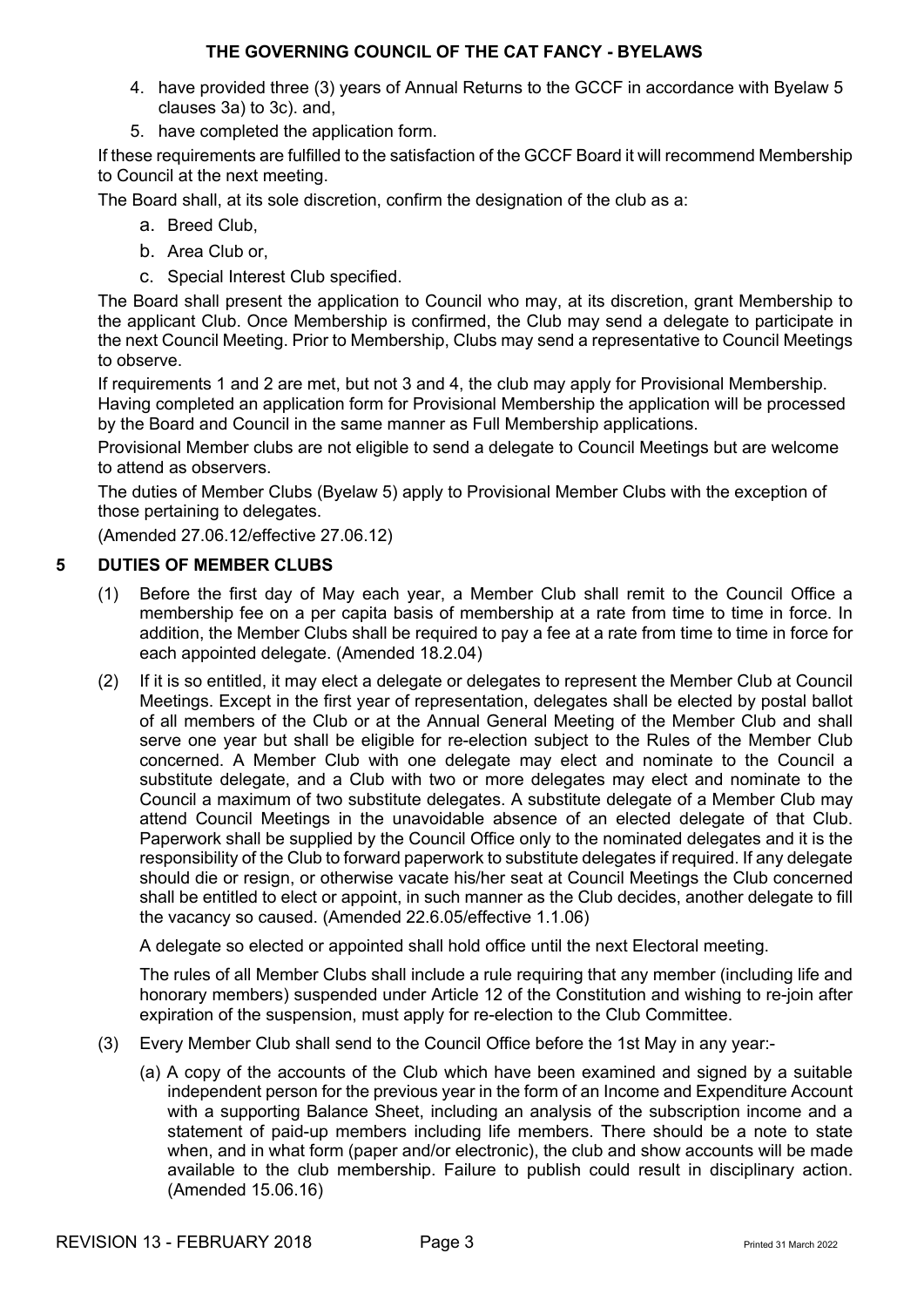- 4. have provided three (3) years of Annual Returns to the GCCF in accordance with Byelaw 5 clauses 3a) to 3c). and,
- 5. have completed the application form.

If these requirements are fulfilled to the satisfaction of the GCCF Board it will recommend Membership to Council at the next meeting.

The Board shall, at its sole discretion, confirm the designation of the club as a:

- a. Breed Club,
- b. Area Club or,
- c. Special Interest Club specified.

The Board shall present the application to Council who may, at its discretion, grant Membership to the applicant Club. Once Membership is confirmed, the Club may send a delegate to participate in the next Council Meeting. Prior to Membership, Clubs may send a representative to Council Meetings to observe.

If requirements 1 and 2 are met, but not 3 and 4, the club may apply for Provisional Membership. Having completed an application form for Provisional Membership the application will be processed by the Board and Council in the same manner as Full Membership applications.

Provisional Member clubs are not eligible to send a delegate to Council Meetings but are welcome to attend as observers.

The duties of Member Clubs (Byelaw 5) apply to Provisional Member Clubs with the exception of those pertaining to delegates.

(Amended 27.06.12/effective 27.06.12)

#### **5 DUTIES OF MEMBER CLUBS**

- (1) Before the first day of May each year, a Member Club shall remit to the Council Office a membership fee on a per capita basis of membership at a rate from time to time in force. In addition, the Member Clubs shall be required to pay a fee at a rate from time to time in force for each appointed delegate. (Amended 18.2.04)
- (2) If it is so entitled, it may elect a delegate or delegates to represent the Member Club at Council Meetings. Except in the first year of representation, delegates shall be elected by postal ballot of all members of the Club or at the Annual General Meeting of the Member Club and shall serve one year but shall be eligible for re-election subject to the Rules of the Member Club concerned. A Member Club with one delegate may elect and nominate to the Council a substitute delegate, and a Club with two or more delegates may elect and nominate to the Council a maximum of two substitute delegates. A substitute delegate of a Member Club may attend Council Meetings in the unavoidable absence of an elected delegate of that Club. Paperwork shall be supplied by the Council Office only to the nominated delegates and it is the responsibility of the Club to forward paperwork to substitute delegates if required. If any delegate should die or resign, or otherwise vacate his/her seat at Council Meetings the Club concerned shall be entitled to elect or appoint, in such manner as the Club decides, another delegate to fill the vacancy so caused. (Amended 22.6.05/effective 1.1.06)

A delegate so elected or appointed shall hold office until the next Electoral meeting.

The rules of all Member Clubs shall include a rule requiring that any member (including life and honorary members) suspended under Article 12 of the Constitution and wishing to re-join after expiration of the suspension, must apply for re-election to the Club Committee.

- (3) Every Member Club shall send to the Council Office before the 1st May in any year:-
	- (a) A copy of the accounts of the Club which have been examined and signed by a suitable independent person for the previous year in the form of an Income and Expenditure Account with a supporting Balance Sheet, including an analysis of the subscription income and a statement of paid-up members including life members. There should be a note to state when, and in what form (paper and/or electronic), the club and show accounts will be made available to the club membership. Failure to publish could result in disciplinary action. (Amended 15.06.16)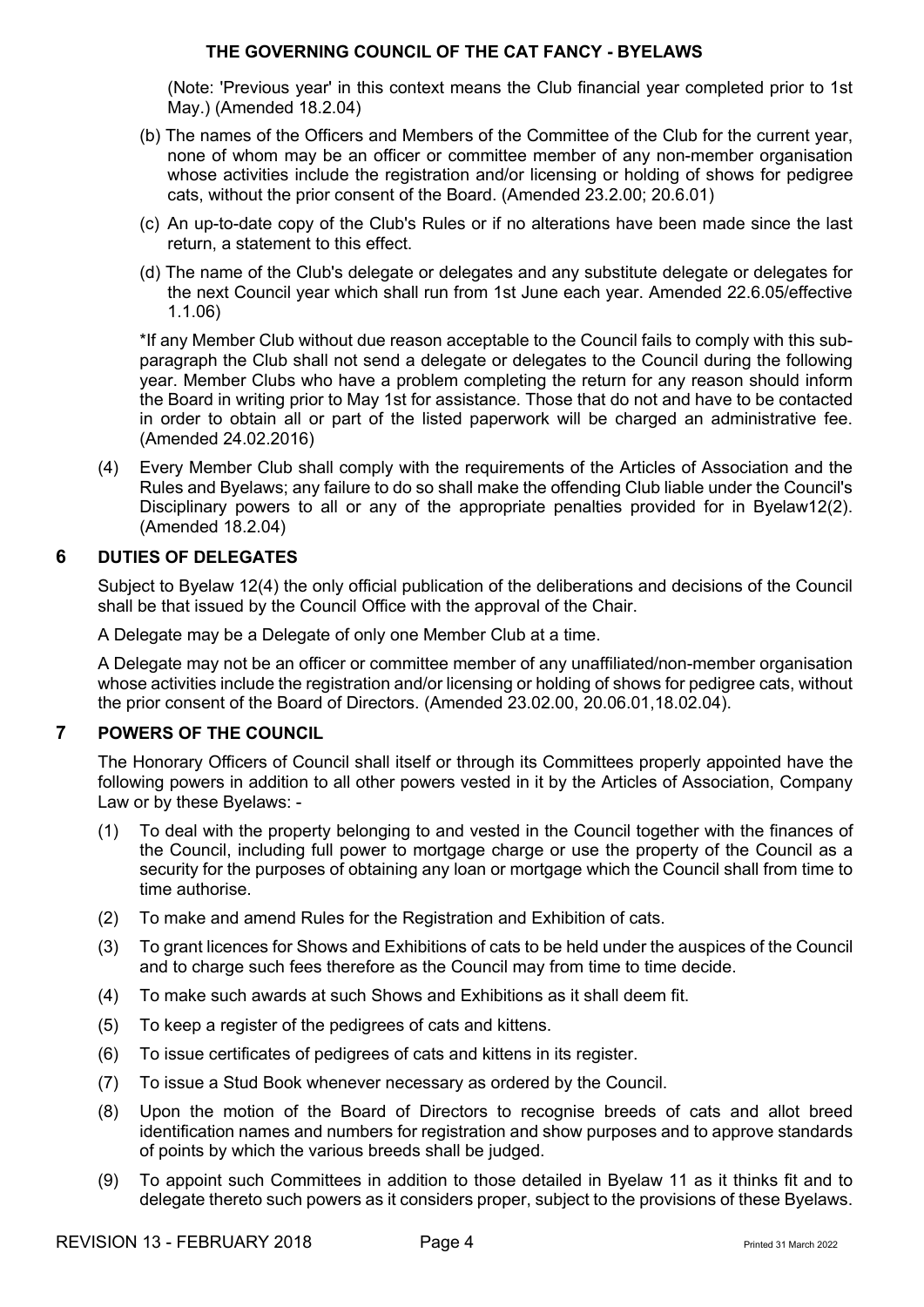(Note: 'Previous year' in this context means the Club financial year completed prior to 1st May.) (Amended 18.2.04)

- (b) The names of the Officers and Members of the Committee of the Club for the current year, none of whom may be an officer or committee member of any non-member organisation whose activities include the registration and/or licensing or holding of shows for pedigree cats, without the prior consent of the Board. (Amended 23.2.00; 20.6.01)
- (c) An up-to-date copy of the Club's Rules or if no alterations have been made since the last return, a statement to this effect.
- (d) The name of the Club's delegate or delegates and any substitute delegate or delegates for the next Council year which shall run from 1st June each year. Amended 22.6.05/effective 1.1.06)

\*If any Member Club without due reason acceptable to the Council fails to comply with this subparagraph the Club shall not send a delegate or delegates to the Council during the following year. Member Clubs who have a problem completing the return for any reason should inform the Board in writing prior to May 1st for assistance. Those that do not and have to be contacted in order to obtain all or part of the listed paperwork will be charged an administrative fee. (Amended 24.02.2016)

(4) Every Member Club shall comply with the requirements of the Articles of Association and the Rules and Byelaws; any failure to do so shall make the offending Club liable under the Council's Disciplinary powers to all or any of the appropriate penalties provided for in Byelaw12(2). (Amended 18.2.04)

# **6 DUTIES OF DELEGATES**

Subject to Byelaw 12(4) the only official publication of the deliberations and decisions of the Council shall be that issued by the Council Office with the approval of the Chair.

A Delegate may be a Delegate of only one Member Club at a time.

A Delegate may not be an officer or committee member of any unaffiliated/non-member organisation whose activities include the registration and/or licensing or holding of shows for pedigree cats, without the prior consent of the Board of Directors. (Amended 23.02.00, 20.06.01,18.02.04).

## **7 POWERS OF THE COUNCIL**

The Honorary Officers of Council shall itself or through its Committees properly appointed have the following powers in addition to all other powers vested in it by the Articles of Association, Company Law or by these Byelaws: -

- (1) To deal with the property belonging to and vested in the Council together with the finances of the Council, including full power to mortgage charge or use the property of the Council as a security for the purposes of obtaining any loan or mortgage which the Council shall from time to time authorise.
- (2) To make and amend Rules for the Registration and Exhibition of cats.
- (3) To grant licences for Shows and Exhibitions of cats to be held under the auspices of the Council and to charge such fees therefore as the Council may from time to time decide.
- (4) To make such awards at such Shows and Exhibitions as it shall deem fit.
- (5) To keep a register of the pedigrees of cats and kittens.
- (6) To issue certificates of pedigrees of cats and kittens in its register.
- (7) To issue a Stud Book whenever necessary as ordered by the Council.
- (8) Upon the motion of the Board of Directors to recognise breeds of cats and allot breed identification names and numbers for registration and show purposes and to approve standards of points by which the various breeds shall be judged.
- (9) To appoint such Committees in addition to those detailed in Byelaw 11 as it thinks fit and to delegate thereto such powers as it considers proper, subject to the provisions of these Byelaws.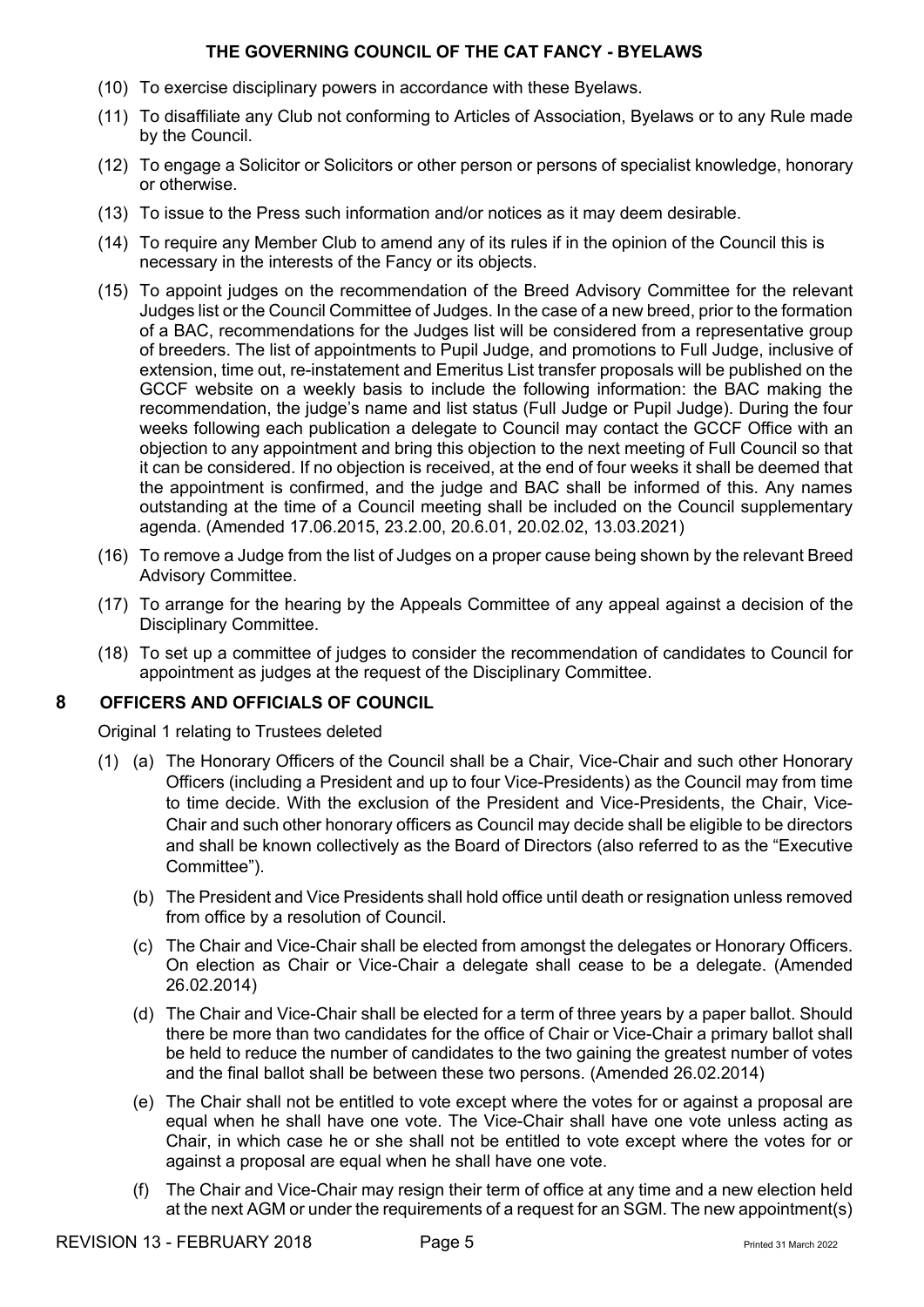- (10) To exercise disciplinary powers in accordance with these Byelaws.
- (11) To disaffiliate any Club not conforming to Articles of Association, Byelaws or to any Rule made by the Council.
- (12) To engage a Solicitor or Solicitors or other person or persons of specialist knowledge, honorary or otherwise.
- (13) To issue to the Press such information and/or notices as it may deem desirable.
- (14) To require any Member Club to amend any of its rules if in the opinion of the Council this is necessary in the interests of the Fancy or its objects.
- (15) To appoint judges on the recommendation of the Breed Advisory Committee for the relevant Judges list or the Council Committee of Judges. In the case of a new breed, prior to the formation of a BAC, recommendations for the Judges list will be considered from a representative group of breeders. The list of appointments to Pupil Judge, and promotions to Full Judge, inclusive of extension, time out, re-instatement and Emeritus List transfer proposals will be published on the GCCF website on a weekly basis to include the following information: the BAC making the recommendation, the judge's name and list status (Full Judge or Pupil Judge). During the four weeks following each publication a delegate to Council may contact the GCCF Office with an objection to any appointment and bring this objection to the next meeting of Full Council so that it can be considered. If no objection is received, at the end of four weeks it shall be deemed that the appointment is confirmed, and the judge and BAC shall be informed of this. Any names outstanding at the time of a Council meeting shall be included on the Council supplementary agenda. (Amended 17.06.2015, 23.2.00, 20.6.01, 20.02.02, 13.03.2021)
- (16) To remove a Judge from the list of Judges on a proper cause being shown by the relevant Breed Advisory Committee.
- (17) To arrange for the hearing by the Appeals Committee of any appeal against a decision of the Disciplinary Committee.
- (18) To set up a committee of judges to consider the recommendation of candidates to Council for appointment as judges at the request of the Disciplinary Committee.

#### **8 OFFICERS AND OFFICIALS OF COUNCIL**

Original 1 relating to Trustees deleted

- (1) (a) The Honorary Officers of the Council shall be a Chair, Vice-Chair and such other Honorary Officers (including a President and up to four Vice-Presidents) as the Council may from time to time decide. With the exclusion of the President and Vice-Presidents, the Chair, Vice-Chair and such other honorary officers as Council may decide shall be eligible to be directors and shall be known collectively as the Board of Directors (also referred to as the "Executive Committee").
	- (b) The President and Vice Presidents shall hold office until death or resignation unless removed from office by a resolution of Council.
	- (c) The Chair and Vice-Chair shall be elected from amongst the delegates or Honorary Officers. On election as Chair or Vice-Chair a delegate shall cease to be a delegate. (Amended 26.02.2014)
	- (d) The Chair and Vice-Chair shall be elected for a term of three years by a paper ballot. Should there be more than two candidates for the office of Chair or Vice-Chair a primary ballot shall be held to reduce the number of candidates to the two gaining the greatest number of votes and the final ballot shall be between these two persons. (Amended 26.02.2014)
	- (e) The Chair shall not be entitled to vote except where the votes for or against a proposal are equal when he shall have one vote. The Vice-Chair shall have one vote unless acting as Chair, in which case he or she shall not be entitled to vote except where the votes for or against a proposal are equal when he shall have one vote.
	- (f) The Chair and Vice-Chair may resign their term of office at any time and a new election held at the next AGM or under the requirements of a request for an SGM. The new appointment(s)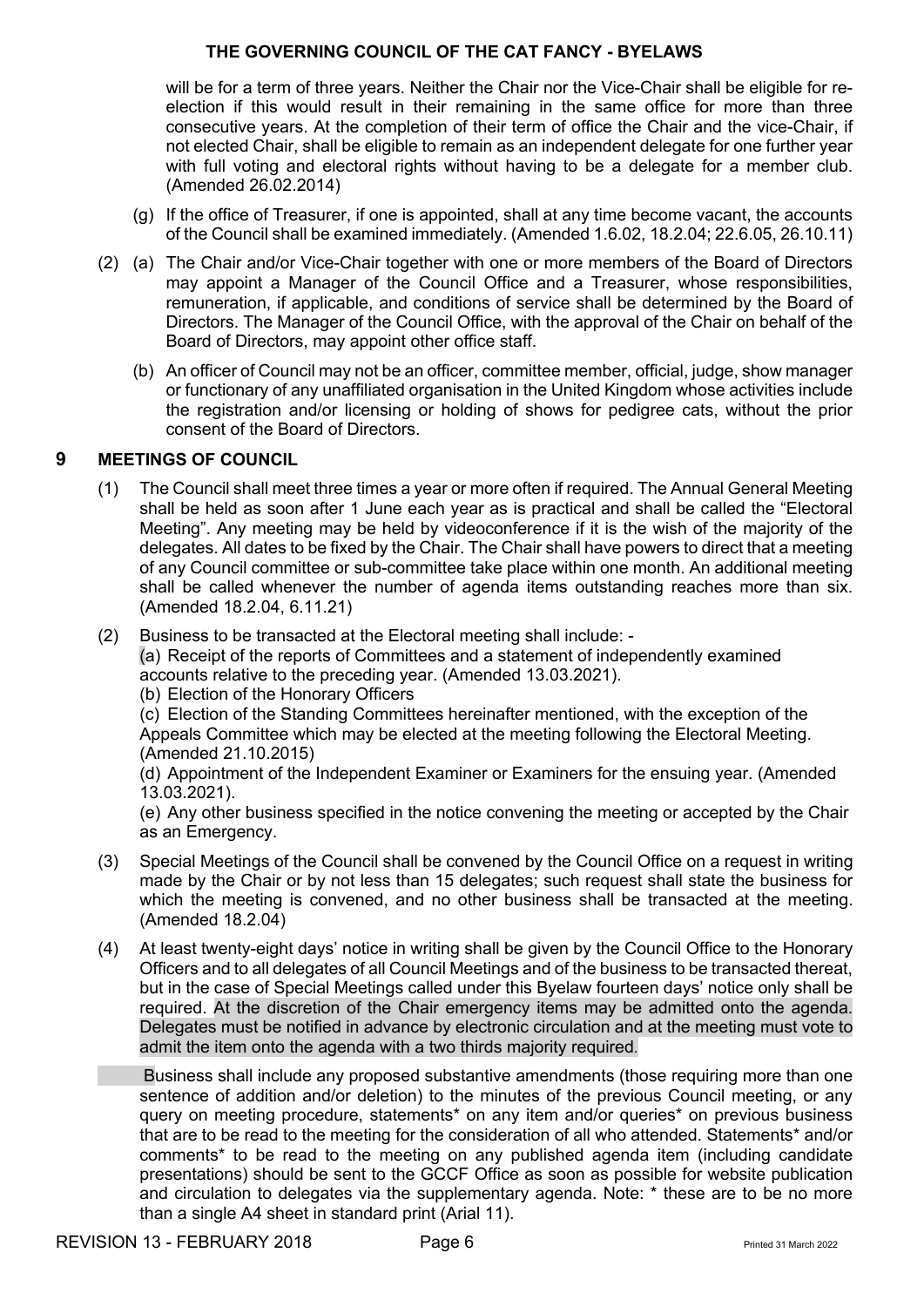will be for a term of three years. Neither the Chair nor the Vice-Chair shall be eligible for reelection if this would result in their remaining in the same office for more than three consecutive years. At the completion of their term of office the Chair and the vice-Chair, if not elected Chair, shall be eligible to remain as an independent delegate for one further year with full voting and electoral rights without having to be a delegate for a member club. (Amended 26.02.2014)

- (g) If the office of Treasurer, if one is appointed, shall at any time become vacant, the accounts of the Council shall be examined immediately. (Amended 1.6.02, 18.2.04; 22.6.05, 26.10.11)
- (2) (a) The Chair and/or Vice-Chair together with one or more members of the Board of Directors may appoint a Manager of the Council Office and a Treasurer, whose responsibilities, remuneration, if applicable, and conditions of service shall be determined by the Board of Directors. The Manager of the Council Office, with the approval of the Chair on behalf of the Board of Directors, may appoint other office staff.
	- (b) An officer of Council may not be an officer, committee member, official, judge, show manager or functionary of any unaffiliated organisation in the United Kingdom whose activities include the registration and/or licensing or holding of shows for pedigree cats, without the prior consent of the Board of Directors.

# **9 MEETINGS OF COUNCIL**

- (1) The Council shall meet three times a year or more often if required. The Annual General Meeting shall be held as soon after 1 June each year as is practical and shall be called the "Electoral Meeting". Any meeting may be held by videoconference if it is the wish of the majority of the delegates. All dates to be fixed by the Chair. The Chair shall have powers to direct that a meeting of any Council committee or sub-committee take place within one month. An additional meeting shall be called whenever the number of agenda items outstanding reaches more than six. (Amended 18.2.04, 6.11.21)
- (2) Business to be transacted at the Electoral meeting shall include: -

(a) Receipt of the reports of Committees and a statement of independently examined accounts relative to the preceding year. (Amended 13.03.2021).

(b) Election of the Honorary Officers

(c) Election of the Standing Committees hereinafter mentioned, with the exception of the Appeals Committee which may be elected at the meeting following the Electoral Meeting. (Amended 21.10.2015)

(d) Appointment of the Independent Examiner or Examiners for the ensuing year. (Amended 13.03.2021).

(e) Any other business specified in the notice convening the meeting or accepted by the Chair as an Emergency.

- (3) Special Meetings of the Council shall be convened by the Council Office on a request in writing made by the Chair or by not less than 15 delegates; such request shall state the business for which the meeting is convened, and no other business shall be transacted at the meeting. (Amended 18.2.04)
- (4) At least twenty-eight days' notice in writing shall be given by the Council Office to the Honorary Officers and to all delegates of all Council Meetings and of the business to be transacted thereat, but in the case of Special Meetings called under this Byelaw fourteen days' notice only shall be required. At the discretion of the Chair emergency items may be admitted onto the agenda. Delegates must be notified in advance by electronic circulation and at the meeting must vote to admit the item onto the agenda with a two thirds majority required.

Business shall include any proposed substantive amendments (those requiring more than one sentence of addition and/or deletion) to the minutes of the previous Council meeting, or any query on meeting procedure, statements\* on any item and/or queries\* on previous business that are to be read to the meeting for the consideration of all who attended. Statements\* and/or comments\* to be read to the meeting on any published agenda item (including candidate presentations) should be sent to the GCCF Office as soon as possible for website publication and circulation to delegates via the supplementary agenda. Note: \* these are to be no more than a single A4 sheet in standard print (Arial 11).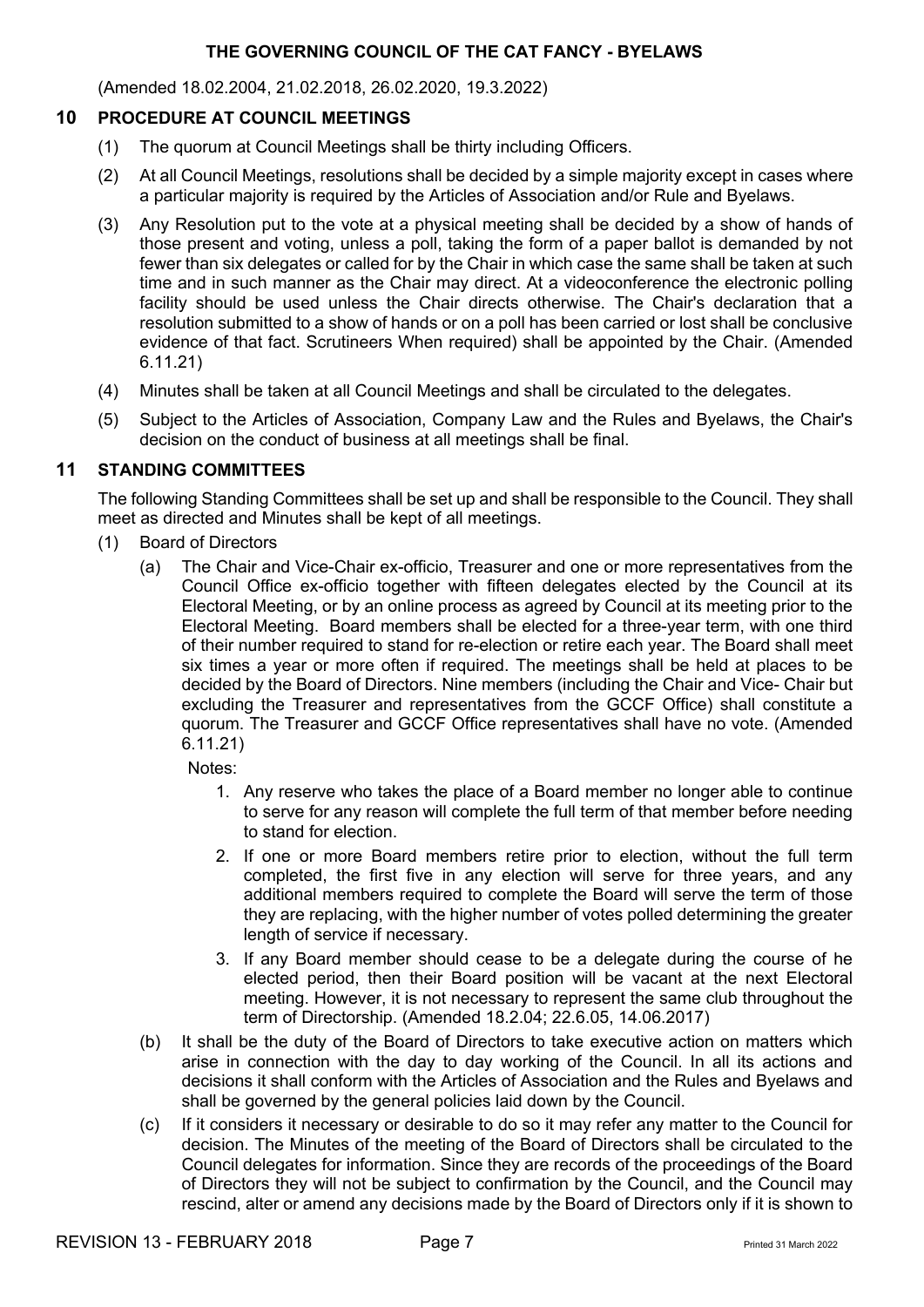(Amended 18.02.2004, 21.02.2018, 26.02.2020, 19.3.2022)

#### **10 PROCEDURE AT COUNCIL MEETINGS**

- (1) The quorum at Council Meetings shall be thirty including Officers.
- (2) At all Council Meetings, resolutions shall be decided by a simple majority except in cases where a particular majority is required by the Articles of Association and/or Rule and Byelaws.
- (3) Any Resolution put to the vote at a physical meeting shall be decided by a show of hands of those present and voting, unless a poll, taking the form of a paper ballot is demanded by not fewer than six delegates or called for by the Chair in which case the same shall be taken at such time and in such manner as the Chair may direct. At a videoconference the electronic polling facility should be used unless the Chair directs otherwise. The Chair's declaration that a resolution submitted to a show of hands or on a poll has been carried or lost shall be conclusive evidence of that fact. Scrutineers When required) shall be appointed by the Chair. (Amended 6.11.21)
- (4) Minutes shall be taken at all Council Meetings and shall be circulated to the delegates.
- (5) Subject to the Articles of Association, Company Law and the Rules and Byelaws, the Chair's decision on the conduct of business at all meetings shall be final.

#### **11 STANDING COMMITTEES**

The following Standing Committees shall be set up and shall be responsible to the Council. They shall meet as directed and Minutes shall be kept of all meetings.

- (1) Board of Directors
	- (a) The Chair and Vice-Chair ex-officio, Treasurer and one or more representatives from the Council Office ex-officio together with fifteen delegates elected by the Council at its Electoral Meeting, or by an online process as agreed by Council at its meeting prior to the Electoral Meeting. Board members shall be elected for a three-year term, with one third of their number required to stand for re-election or retire each year. The Board shall meet six times a year or more often if required. The meetings shall be held at places to be decided by the Board of Directors. Nine members (including the Chair and Vice- Chair but excluding the Treasurer and representatives from the GCCF Office) shall constitute a quorum. The Treasurer and GCCF Office representatives shall have no vote. (Amended 6.11.21)

Notes:

- 1. Any reserve who takes the place of a Board member no longer able to continue to serve for any reason will complete the full term of that member before needing to stand for election.
- 2. If one or more Board members retire prior to election, without the full term completed, the first five in any election will serve for three years, and any additional members required to complete the Board will serve the term of those they are replacing, with the higher number of votes polled determining the greater length of service if necessary.
- 3. If any Board member should cease to be a delegate during the course of he elected period, then their Board position will be vacant at the next Electoral meeting. However, it is not necessary to represent the same club throughout the term of Directorship. (Amended 18.2.04; 22.6.05, 14.06.2017)
- (b) It shall be the duty of the Board of Directors to take executive action on matters which arise in connection with the day to day working of the Council. In all its actions and decisions it shall conform with the Articles of Association and the Rules and Byelaws and shall be governed by the general policies laid down by the Council.
- (c) If it considers it necessary or desirable to do so it may refer any matter to the Council for decision. The Minutes of the meeting of the Board of Directors shall be circulated to the Council delegates for information. Since they are records of the proceedings of the Board of Directors they will not be subject to confirmation by the Council, and the Council may rescind, alter or amend any decisions made by the Board of Directors only if it is shown to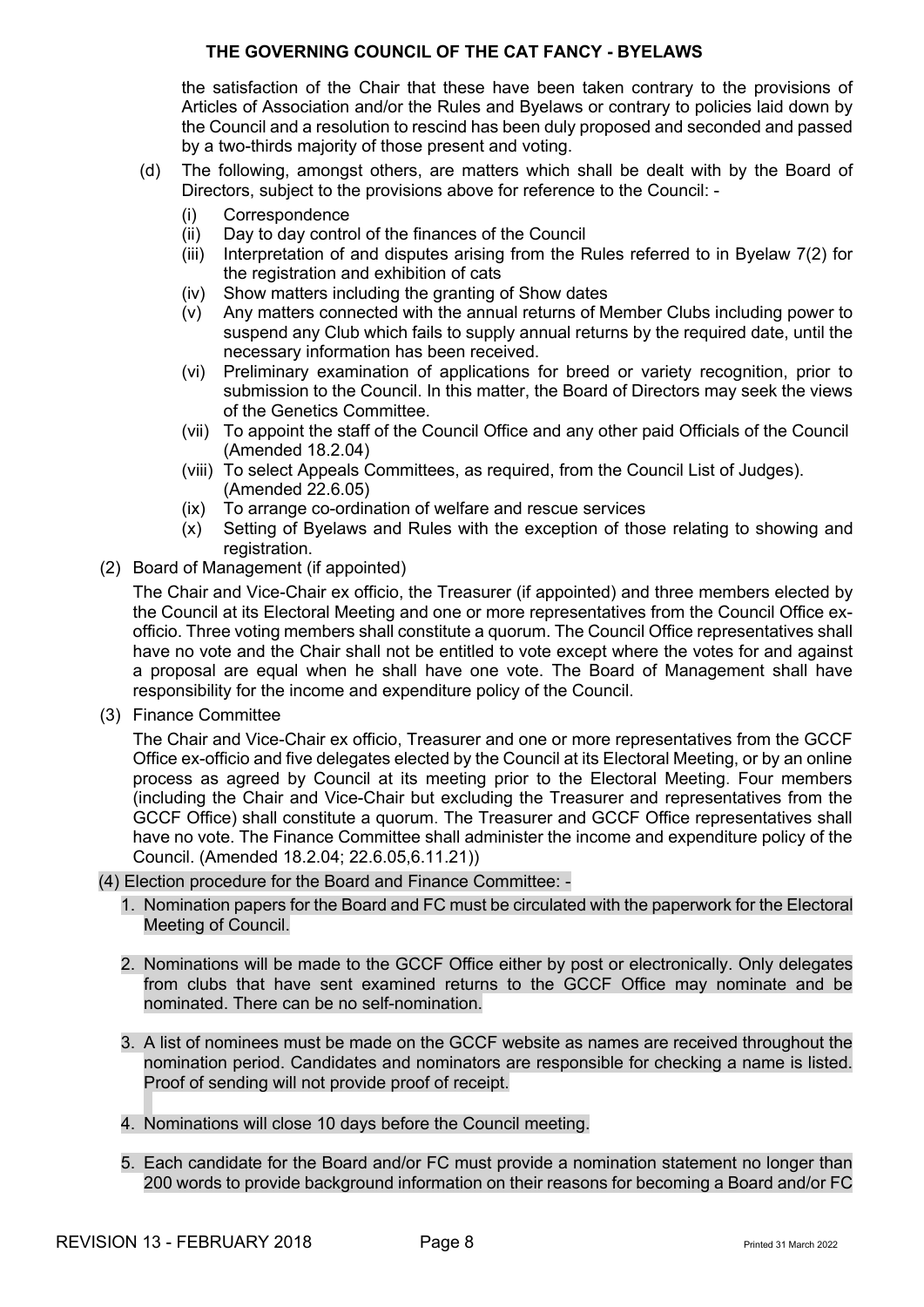the satisfaction of the Chair that these have been taken contrary to the provisions of Articles of Association and/or the Rules and Byelaws or contrary to policies laid down by the Council and a resolution to rescind has been duly proposed and seconded and passed by a two-thirds majority of those present and voting.

- (d) The following, amongst others, are matters which shall be dealt with by the Board of Directors, subject to the provisions above for reference to the Council: -
	- (i) Correspondence
	- (ii) Day to day control of the finances of the Council
	- (iii) Interpretation of and disputes arising from the Rules referred to in Byelaw 7(2) for the registration and exhibition of cats
	- (iv) Show matters including the granting of Show dates
	- (v) Any matters connected with the annual returns of Member Clubs including power to suspend any Club which fails to supply annual returns by the required date, until the necessary information has been received.
	- (vi) Preliminary examination of applications for breed or variety recognition, prior to submission to the Council. In this matter, the Board of Directors may seek the views of the Genetics Committee.
	- (vii) To appoint the staff of the Council Office and any other paid Officials of the Council (Amended 18.2.04)
	- (viii) To select Appeals Committees, as required, from the Council List of Judges). (Amended 22.6.05)
	- (ix) To arrange co-ordination of welfare and rescue services
	- (x) Setting of Byelaws and Rules with the exception of those relating to showing and registration.
- (2) Board of Management (if appointed)

The Chair and Vice-Chair ex officio, the Treasurer (if appointed) and three members elected by the Council at its Electoral Meeting and one or more representatives from the Council Office exofficio. Three voting members shall constitute a quorum. The Council Office representatives shall have no vote and the Chair shall not be entitled to vote except where the votes for and against a proposal are equal when he shall have one vote. The Board of Management shall have responsibility for the income and expenditure policy of the Council.

(3) Finance Committee

The Chair and Vice-Chair ex officio, Treasurer and one or more representatives from the GCCF Office ex-officio and five delegates elected by the Council at its Electoral Meeting, or by an online process as agreed by Council at its meeting prior to the Electoral Meeting. Four members (including the Chair and Vice-Chair but excluding the Treasurer and representatives from the GCCF Office) shall constitute a quorum. The Treasurer and GCCF Office representatives shall have no vote. The Finance Committee shall administer the income and expenditure policy of the Council. (Amended 18.2.04; 22.6.05,6.11.21))

- (4) Election procedure for the Board and Finance Committee:
	- 1. Nomination papers for the Board and FC must be circulated with the paperwork for the Electoral Meeting of Council.
	- 2. Nominations will be made to the GCCF Office either by post or electronically. Only delegates from clubs that have sent examined returns to the GCCF Office may nominate and be nominated. There can be no self-nomination.
	- 3. A list of nominees must be made on the GCCF website as names are received throughout the nomination period. Candidates and nominators are responsible for checking a name is listed. Proof of sending will not provide proof of receipt.
	- 4. Nominations will close 10 days before the Council meeting.
	- 5. Each candidate for the Board and/or FC must provide a nomination statement no longer than 200 words to provide background information on their reasons for becoming a Board and/or FC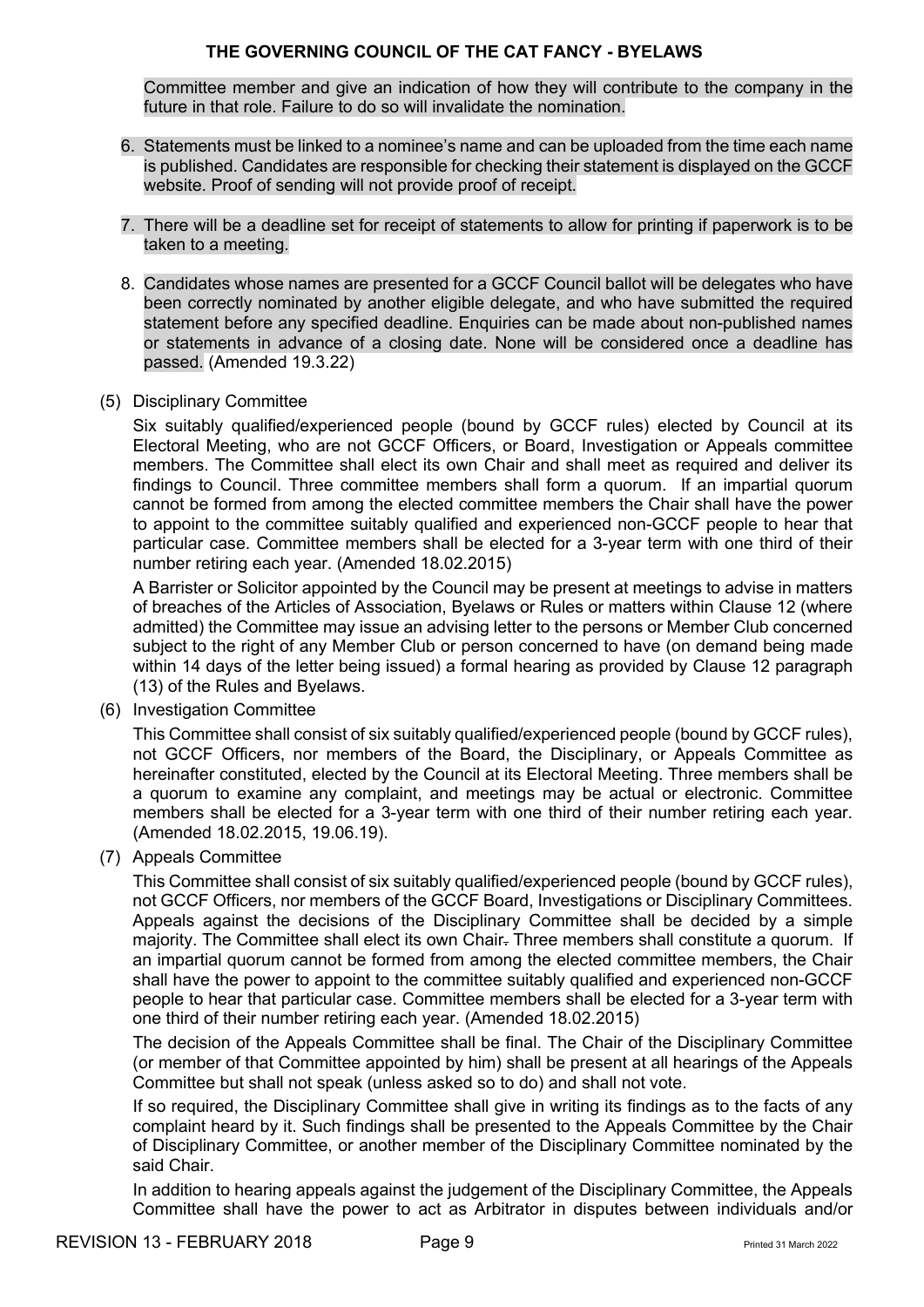Committee member and give an indication of how they will contribute to the company in the future in that role. Failure to do so will invalidate the nomination.

- 6. Statements must be linked to a nominee's name and can be uploaded from the time each name is published. Candidates are responsible for checking their statement is displayed on the GCCF website. Proof of sending will not provide proof of receipt.
- 7. There will be a deadline set for receipt of statements to allow for printing if paperwork is to be taken to a meeting.
- 8. Candidates whose names are presented for a GCCF Council ballot will be delegates who have been correctly nominated by another eligible delegate, and who have submitted the required statement before any specified deadline. Enquiries can be made about non-published names or statements in advance of a closing date. None will be considered once a deadline has passed. (Amended 19.3.22)
- (5) Disciplinary Committee

Six suitably qualified/experienced people (bound by GCCF rules) elected by Council at its Electoral Meeting, who are not GCCF Officers, or Board, Investigation or Appeals committee members. The Committee shall elect its own Chair and shall meet as required and deliver its findings to Council. Three committee members shall form a quorum. If an impartial quorum cannot be formed from among the elected committee members the Chair shall have the power to appoint to the committee suitably qualified and experienced non-GCCF people to hear that particular case. Committee members shall be elected for a 3-year term with one third of their number retiring each year. (Amended 18.02.2015)

A Barrister or Solicitor appointed by the Council may be present at meetings to advise in matters of breaches of the Articles of Association, Byelaws or Rules or matters within Clause 12 (where admitted) the Committee may issue an advising letter to the persons or Member Club concerned subject to the right of any Member Club or person concerned to have (on demand being made within 14 days of the letter being issued) a formal hearing as provided by Clause 12 paragraph (13) of the Rules and Byelaws.

(6) Investigation Committee

This Committee shall consist of six suitably qualified/experienced people (bound by GCCF rules), not GCCF Officers, nor members of the Board, the Disciplinary, or Appeals Committee as hereinafter constituted, elected by the Council at its Electoral Meeting. Three members shall be a quorum to examine any complaint, and meetings may be actual or electronic. Committee members shall be elected for a 3-year term with one third of their number retiring each year. (Amended 18.02.2015, 19.06.19).

(7) Appeals Committee

This Committee shall consist of six suitably qualified/experienced people (bound by GCCF rules), not GCCF Officers, nor members of the GCCF Board, Investigations or Disciplinary Committees. Appeals against the decisions of the Disciplinary Committee shall be decided by a simple majority. The Committee shall elect its own Chair. Three members shall constitute a quorum. If an impartial quorum cannot be formed from among the elected committee members, the Chair shall have the power to appoint to the committee suitably qualified and experienced non-GCCF people to hear that particular case. Committee members shall be elected for a 3-year term with one third of their number retiring each year. (Amended 18.02.2015)

The decision of the Appeals Committee shall be final. The Chair of the Disciplinary Committee (or member of that Committee appointed by him) shall be present at all hearings of the Appeals Committee but shall not speak (unless asked so to do) and shall not vote.

If so required, the Disciplinary Committee shall give in writing its findings as to the facts of any complaint heard by it. Such findings shall be presented to the Appeals Committee by the Chair of Disciplinary Committee, or another member of the Disciplinary Committee nominated by the said Chair.

In addition to hearing appeals against the judgement of the Disciplinary Committee, the Appeals Committee shall have the power to act as Arbitrator in disputes between individuals and/or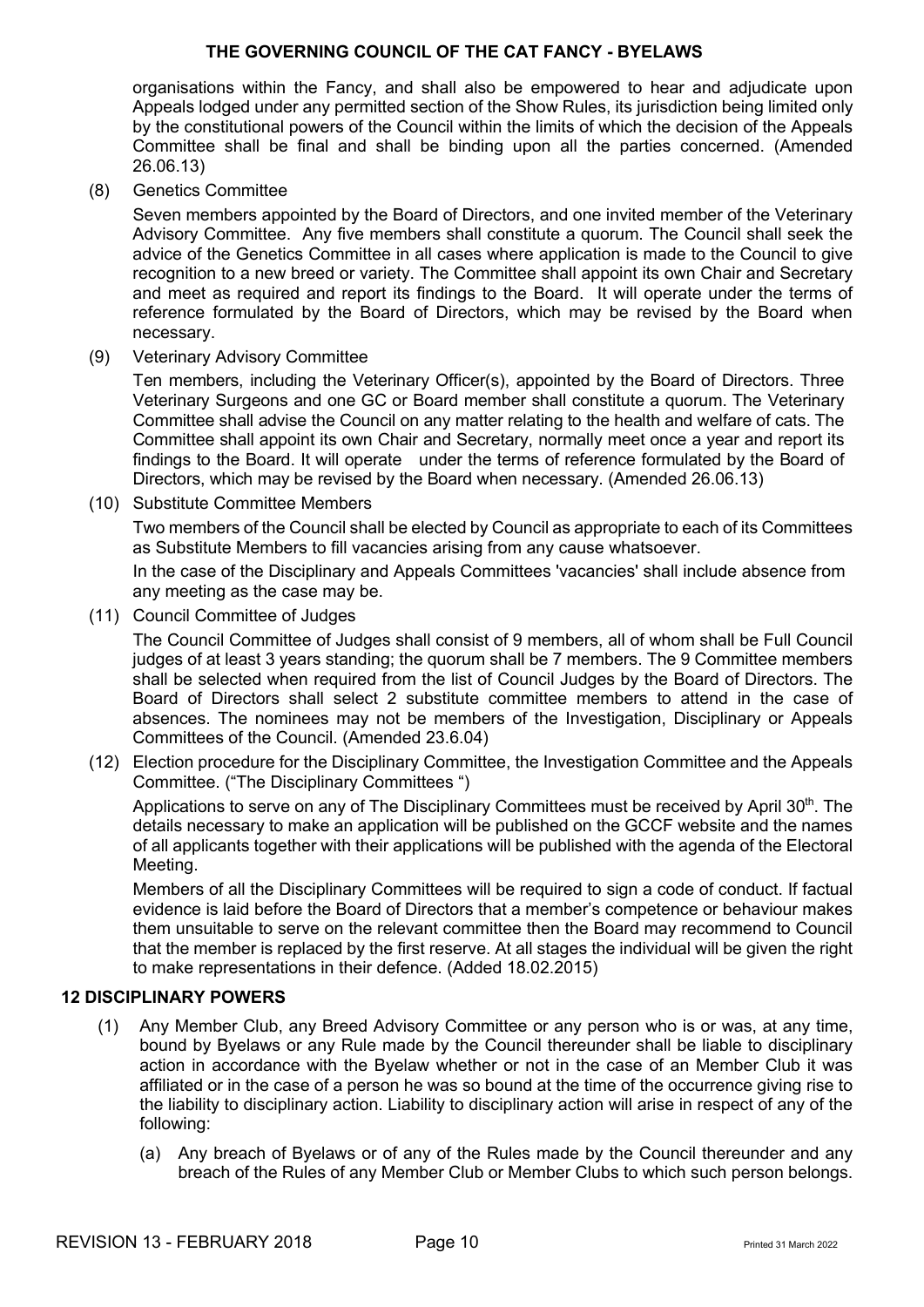organisations within the Fancy, and shall also be empowered to hear and adjudicate upon Appeals lodged under any permitted section of the Show Rules, its jurisdiction being limited only by the constitutional powers of the Council within the limits of which the decision of the Appeals Committee shall be final and shall be binding upon all the parties concerned. (Amended 26.06.13)

(8) Genetics Committee

Seven members appointed by the Board of Directors, and one invited member of the Veterinary Advisory Committee. Any five members shall constitute a quorum. The Council shall seek the advice of the Genetics Committee in all cases where application is made to the Council to give recognition to a new breed or variety. The Committee shall appoint its own Chair and Secretary and meet as required and report its findings to the Board. It will operate under the terms of reference formulated by the Board of Directors, which may be revised by the Board when necessary.

(9) Veterinary Advisory Committee

Ten members, including the Veterinary Officer(s), appointed by the Board of Directors. Three Veterinary Surgeons and one GC or Board member shall constitute a quorum. The Veterinary Committee shall advise the Council on any matter relating to the health and welfare of cats. The Committee shall appoint its own Chair and Secretary, normally meet once a year and report its findings to the Board. It will operate under the terms of reference formulated by the Board of Directors, which may be revised by the Board when necessary. (Amended 26.06.13)

(10) Substitute Committee Members

Two members of the Council shall be elected by Council as appropriate to each of its Committees as Substitute Members to fill vacancies arising from any cause whatsoever.

In the case of the Disciplinary and Appeals Committees 'vacancies' shall include absence from any meeting as the case may be.

(11) Council Committee of Judges

The Council Committee of Judges shall consist of 9 members, all of whom shall be Full Council judges of at least 3 years standing; the quorum shall be 7 members. The 9 Committee members shall be selected when required from the list of Council Judges by the Board of Directors. The Board of Directors shall select 2 substitute committee members to attend in the case of absences. The nominees may not be members of the Investigation, Disciplinary or Appeals Committees of the Council. (Amended 23.6.04)

(12) Election procedure for the Disciplinary Committee, the Investigation Committee and the Appeals Committee. ("The Disciplinary Committees ")

Applications to serve on any of The Disciplinary Committees must be received by April 30<sup>th</sup>. The details necessary to make an application will be published on the GCCF website and the names of all applicants together with their applications will be published with the agenda of the Electoral Meeting.

Members of all the Disciplinary Committees will be required to sign a code of conduct. If factual evidence is laid before the Board of Directors that a member's competence or behaviour makes them unsuitable to serve on the relevant committee then the Board may recommend to Council that the member is replaced by the first reserve. At all stages the individual will be given the right to make representations in their defence. (Added 18.02.2015)

#### **12 DISCIPLINARY POWERS**

- (1) Any Member Club, any Breed Advisory Committee or any person who is or was, at any time, bound by Byelaws or any Rule made by the Council thereunder shall be liable to disciplinary action in accordance with the Byelaw whether or not in the case of an Member Club it was affiliated or in the case of a person he was so bound at the time of the occurrence giving rise to the liability to disciplinary action. Liability to disciplinary action will arise in respect of any of the following:
	- (a) Any breach of Byelaws or of any of the Rules made by the Council thereunder and any breach of the Rules of any Member Club or Member Clubs to which such person belongs.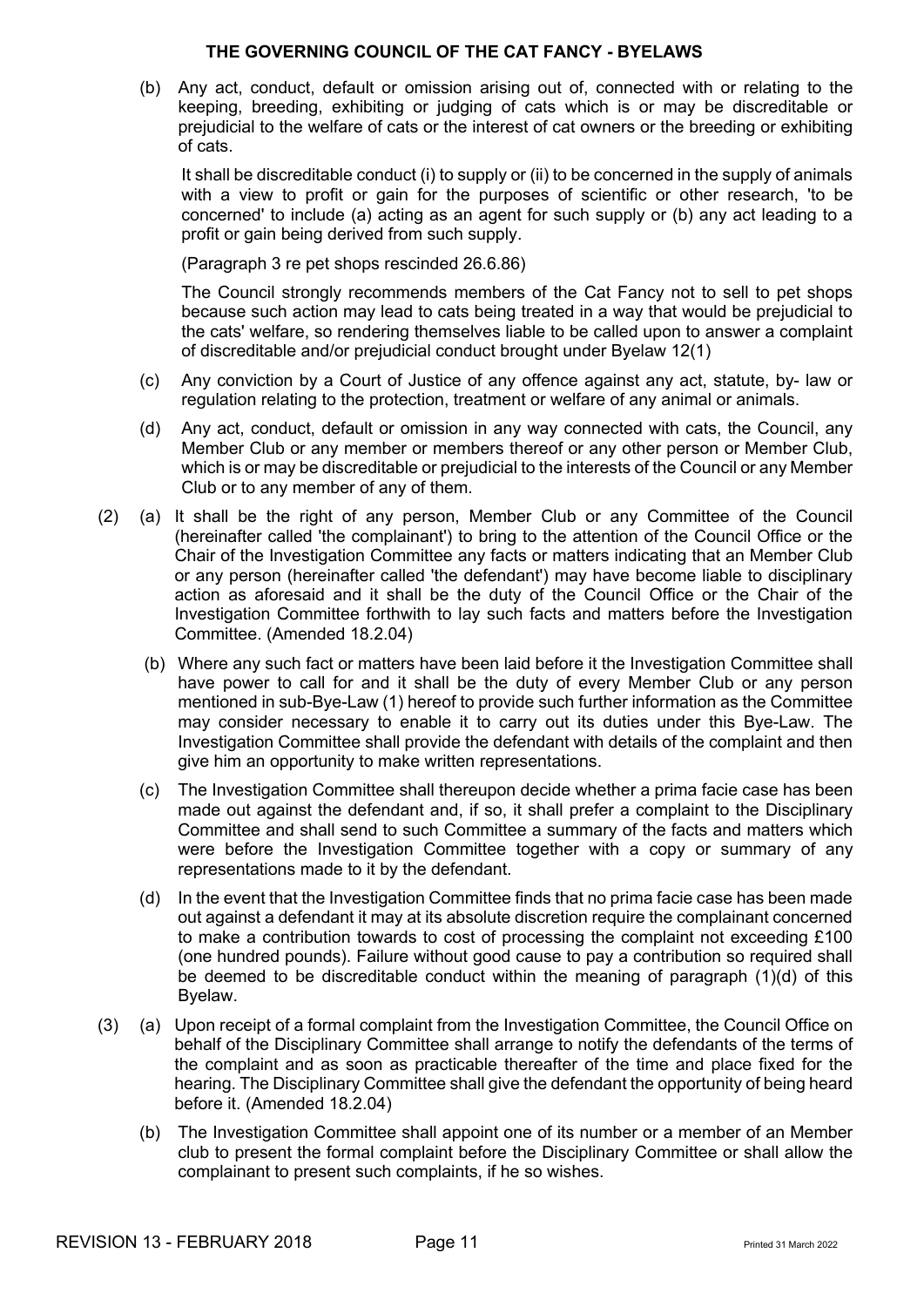(b) Any act, conduct, default or omission arising out of, connected with or relating to the keeping, breeding, exhibiting or judging of cats which is or may be discreditable or prejudicial to the welfare of cats or the interest of cat owners or the breeding or exhibiting of cats.

It shall be discreditable conduct (i) to supply or (ii) to be concerned in the supply of animals with a view to profit or gain for the purposes of scientific or other research, 'to be concerned' to include (a) acting as an agent for such supply or (b) any act leading to a profit or gain being derived from such supply.

(Paragraph 3 re pet shops rescinded 26.6.86)

The Council strongly recommends members of the Cat Fancy not to sell to pet shops because such action may lead to cats being treated in a way that would be prejudicial to the cats' welfare, so rendering themselves liable to be called upon to answer a complaint of discreditable and/or prejudicial conduct brought under Byelaw 12(1)

- (c) Any conviction by a Court of Justice of any offence against any act, statute, by- law or regulation relating to the protection, treatment or welfare of any animal or animals.
- (d) Any act, conduct, default or omission in any way connected with cats, the Council, any Member Club or any member or members thereof or any other person or Member Club, which is or may be discreditable or prejudicial to the interests of the Council or any Member Club or to any member of any of them.
- (2) (a) It shall be the right of any person, Member Club or any Committee of the Council (hereinafter called 'the complainant') to bring to the attention of the Council Office or the Chair of the Investigation Committee any facts or matters indicating that an Member Club or any person (hereinafter called 'the defendant') may have become liable to disciplinary action as aforesaid and it shall be the duty of the Council Office or the Chair of the Investigation Committee forthwith to lay such facts and matters before the Investigation Committee. (Amended 18.2.04)
	- (b) Where any such fact or matters have been laid before it the Investigation Committee shall have power to call for and it shall be the duty of every Member Club or any person mentioned in sub-Bye-Law (1) hereof to provide such further information as the Committee may consider necessary to enable it to carry out its duties under this Bye-Law. The Investigation Committee shall provide the defendant with details of the complaint and then give him an opportunity to make written representations.
	- (c) The Investigation Committee shall thereupon decide whether a prima facie case has been made out against the defendant and, if so, it shall prefer a complaint to the Disciplinary Committee and shall send to such Committee a summary of the facts and matters which were before the Investigation Committee together with a copy or summary of any representations made to it by the defendant.
	- (d) In the event that the Investigation Committee finds that no prima facie case has been made out against a defendant it may at its absolute discretion require the complainant concerned to make a contribution towards to cost of processing the complaint not exceeding £100 (one hundred pounds). Failure without good cause to pay a contribution so required shall be deemed to be discreditable conduct within the meaning of paragraph (1)(d) of this Byelaw.
- (3) (a) Upon receipt of a formal complaint from the Investigation Committee, the Council Office on behalf of the Disciplinary Committee shall arrange to notify the defendants of the terms of the complaint and as soon as practicable thereafter of the time and place fixed for the hearing. The Disciplinary Committee shall give the defendant the opportunity of being heard before it. (Amended 18.2.04)
	- (b) The Investigation Committee shall appoint one of its number or a member of an Member club to present the formal complaint before the Disciplinary Committee or shall allow the complainant to present such complaints, if he so wishes.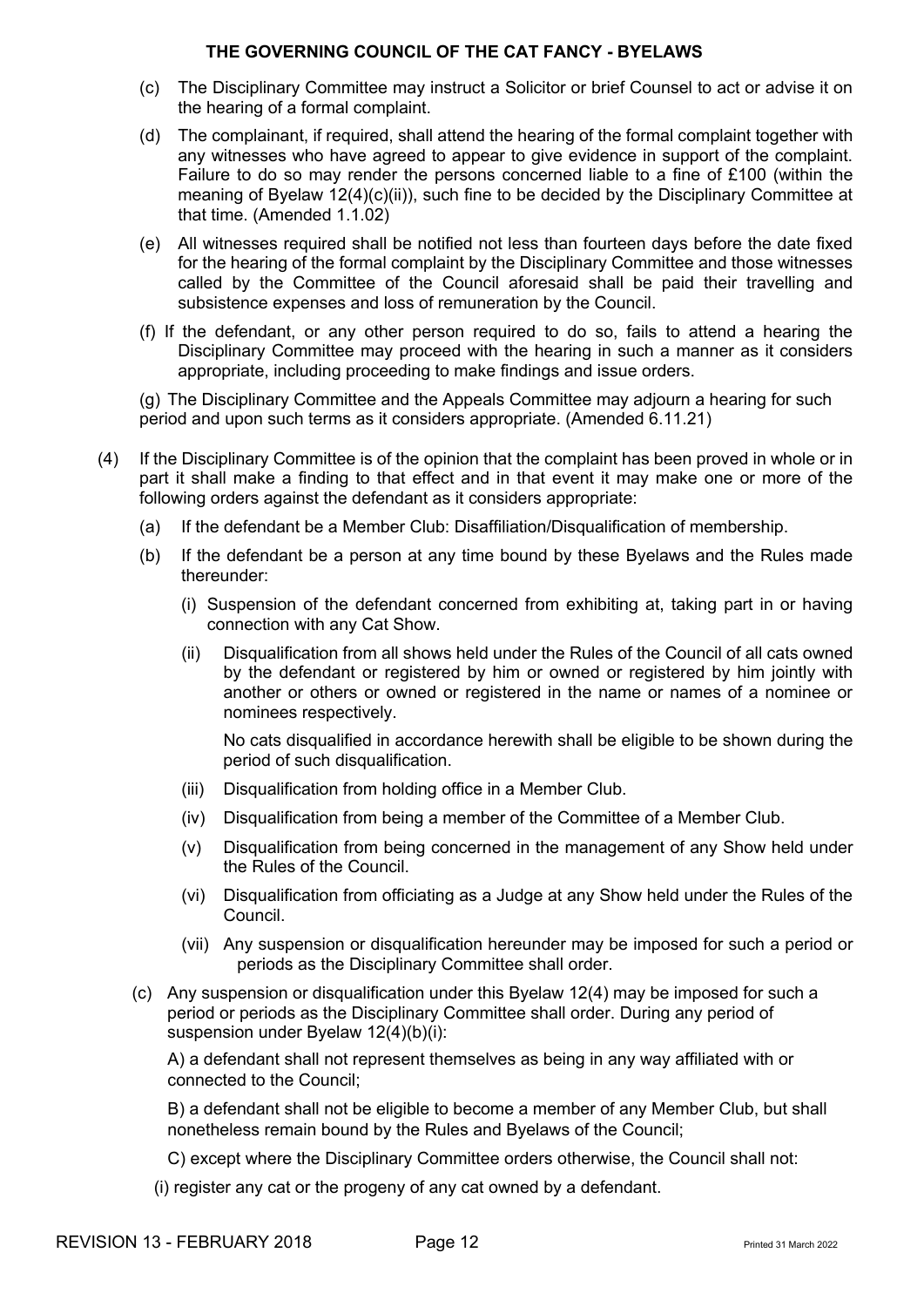- (c) The Disciplinary Committee may instruct a Solicitor or brief Counsel to act or advise it on the hearing of a formal complaint.
- (d) The complainant, if required, shall attend the hearing of the formal complaint together with any witnesses who have agreed to appear to give evidence in support of the complaint. Failure to do so may render the persons concerned liable to a fine of £100 (within the meaning of Byelaw 12(4)(c)(ii)), such fine to be decided by the Disciplinary Committee at that time. (Amended 1.1.02)
- (e) All witnesses required shall be notified not less than fourteen days before the date fixed for the hearing of the formal complaint by the Disciplinary Committee and those witnesses called by the Committee of the Council aforesaid shall be paid their travelling and subsistence expenses and loss of remuneration by the Council.
- (f) If the defendant, or any other person required to do so, fails to attend a hearing the Disciplinary Committee may proceed with the hearing in such a manner as it considers appropriate, including proceeding to make findings and issue orders.

(g) The Disciplinary Committee and the Appeals Committee may adjourn a hearing for such period and upon such terms as it considers appropriate. (Amended 6.11.21)

- (4) If the Disciplinary Committee is of the opinion that the complaint has been proved in whole or in part it shall make a finding to that effect and in that event it may make one or more of the following orders against the defendant as it considers appropriate:
	- (a) If the defendant be a Member Club: Disaffiliation/Disqualification of membership.
	- (b) If the defendant be a person at any time bound by these Byelaws and the Rules made thereunder:
		- (i) Suspension of the defendant concerned from exhibiting at, taking part in or having connection with any Cat Show.
		- (ii) Disqualification from all shows held under the Rules of the Council of all cats owned by the defendant or registered by him or owned or registered by him jointly with another or others or owned or registered in the name or names of a nominee or nominees respectively.

No cats disqualified in accordance herewith shall be eligible to be shown during the period of such disqualification.

- (iii) Disqualification from holding office in a Member Club.
- (iv) Disqualification from being a member of the Committee of a Member Club.
- (v) Disqualification from being concerned in the management of any Show held under the Rules of the Council.
- (vi) Disqualification from officiating as a Judge at any Show held under the Rules of the Council.
- (vii) Any suspension or disqualification hereunder may be imposed for such a period or periods as the Disciplinary Committee shall order.
- (c) Any suspension or disqualification under this Byelaw 12(4) may be imposed for such a period or periods as the Disciplinary Committee shall order. During any period of suspension under Byelaw 12(4)(b)(i):

A) a defendant shall not represent themselves as being in any way affiliated with or connected to the Council;

B) a defendant shall not be eligible to become a member of any Member Club, but shall nonetheless remain bound by the Rules and Byelaws of the Council;

C) except where the Disciplinary Committee orders otherwise, the Council shall not:

(i) register any cat or the progeny of any cat owned by a defendant.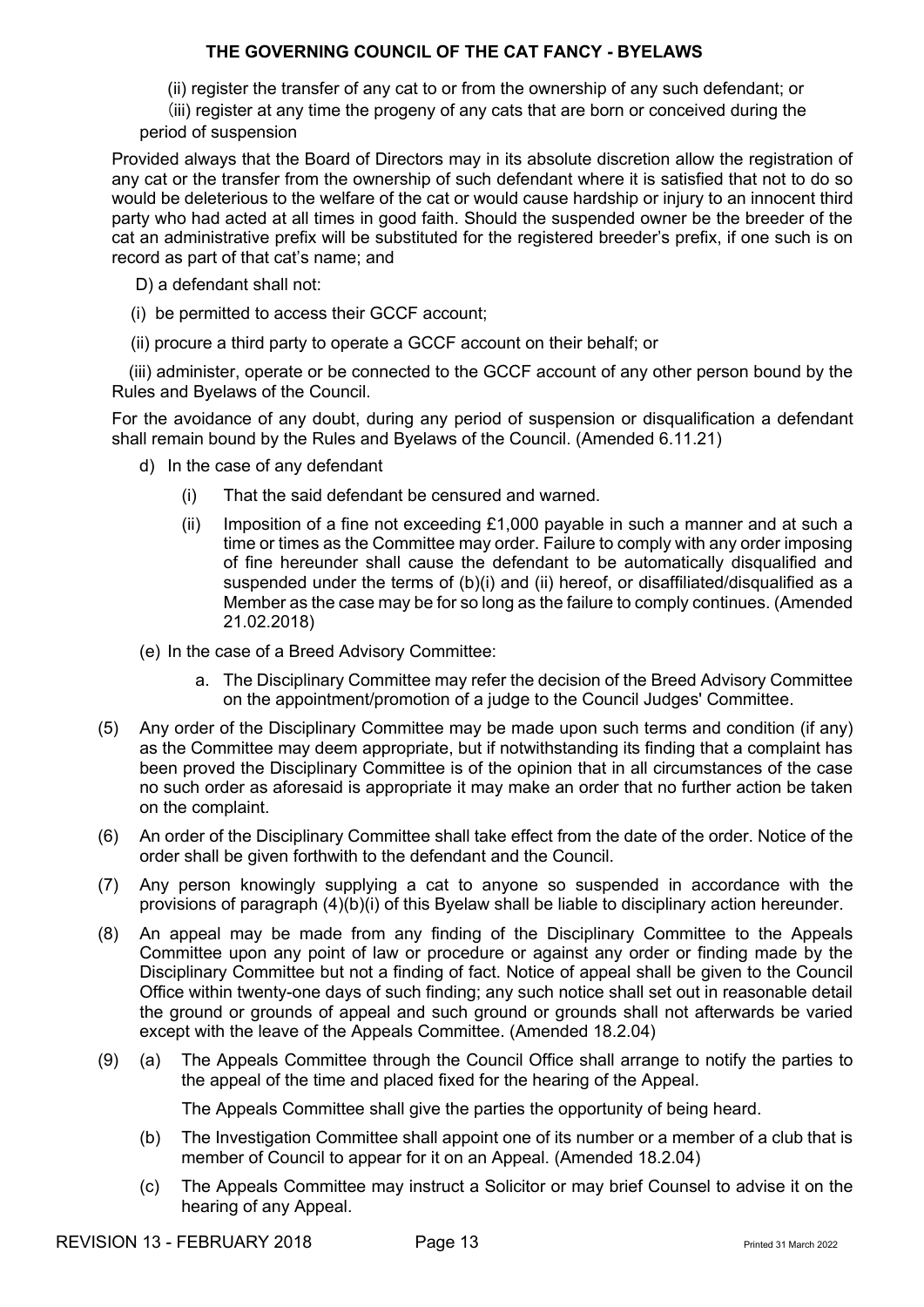- (ii) register the transfer of any cat to or from the ownership of any such defendant; or
- (iii) register at any time the progeny of any cats that are born or conceived during the period of suspension

Provided always that the Board of Directors may in its absolute discretion allow the registration of any cat or the transfer from the ownership of such defendant where it is satisfied that not to do so would be deleterious to the welfare of the cat or would cause hardship or injury to an innocent third party who had acted at all times in good faith. Should the suspended owner be the breeder of the cat an administrative prefix will be substituted for the registered breeder's prefix, if one such is on record as part of that cat's name; and

D) a defendant shall not:

- (i) be permitted to access their GCCF account;
- (ii) procure a third party to operate a GCCF account on their behalf; or

 (iii) administer, operate or be connected to the GCCF account of any other person bound by the Rules and Byelaws of the Council.

For the avoidance of any doubt, during any period of suspension or disqualification a defendant shall remain bound by the Rules and Byelaws of the Council. (Amended 6.11.21)

- d) In the case of any defendant
	- (i) That the said defendant be censured and warned.
	- (ii) Imposition of a fine not exceeding £1,000 payable in such a manner and at such a time or times as the Committee may order. Failure to comply with any order imposing of fine hereunder shall cause the defendant to be automatically disqualified and suspended under the terms of  $(b)(i)$  and  $(ii)$  hereof, or disaffiliated/disqualified as a Member as the case may be for so long as the failure to comply continues. (Amended 21.02.2018)
- (e) In the case of a Breed Advisory Committee:
	- a. The Disciplinary Committee may refer the decision of the Breed Advisory Committee on the appointment/promotion of a judge to the Council Judges' Committee.
- (5) Any order of the Disciplinary Committee may be made upon such terms and condition (if any) as the Committee may deem appropriate, but if notwithstanding its finding that a complaint has been proved the Disciplinary Committee is of the opinion that in all circumstances of the case no such order as aforesaid is appropriate it may make an order that no further action be taken on the complaint.
- (6) An order of the Disciplinary Committee shall take effect from the date of the order. Notice of the order shall be given forthwith to the defendant and the Council.
- (7) Any person knowingly supplying a cat to anyone so suspended in accordance with the provisions of paragraph (4)(b)(i) of this Byelaw shall be liable to disciplinary action hereunder.
- (8) An appeal may be made from any finding of the Disciplinary Committee to the Appeals Committee upon any point of law or procedure or against any order or finding made by the Disciplinary Committee but not a finding of fact. Notice of appeal shall be given to the Council Office within twenty-one days of such finding; any such notice shall set out in reasonable detail the ground or grounds of appeal and such ground or grounds shall not afterwards be varied except with the leave of the Appeals Committee. (Amended 18.2.04)
- (9) (a) The Appeals Committee through the Council Office shall arrange to notify the parties to the appeal of the time and placed fixed for the hearing of the Appeal.

The Appeals Committee shall give the parties the opportunity of being heard.

- (b) The Investigation Committee shall appoint one of its number or a member of a club that is member of Council to appear for it on an Appeal. (Amended 18.2.04)
- (c) The Appeals Committee may instruct a Solicitor or may brief Counsel to advise it on the hearing of any Appeal.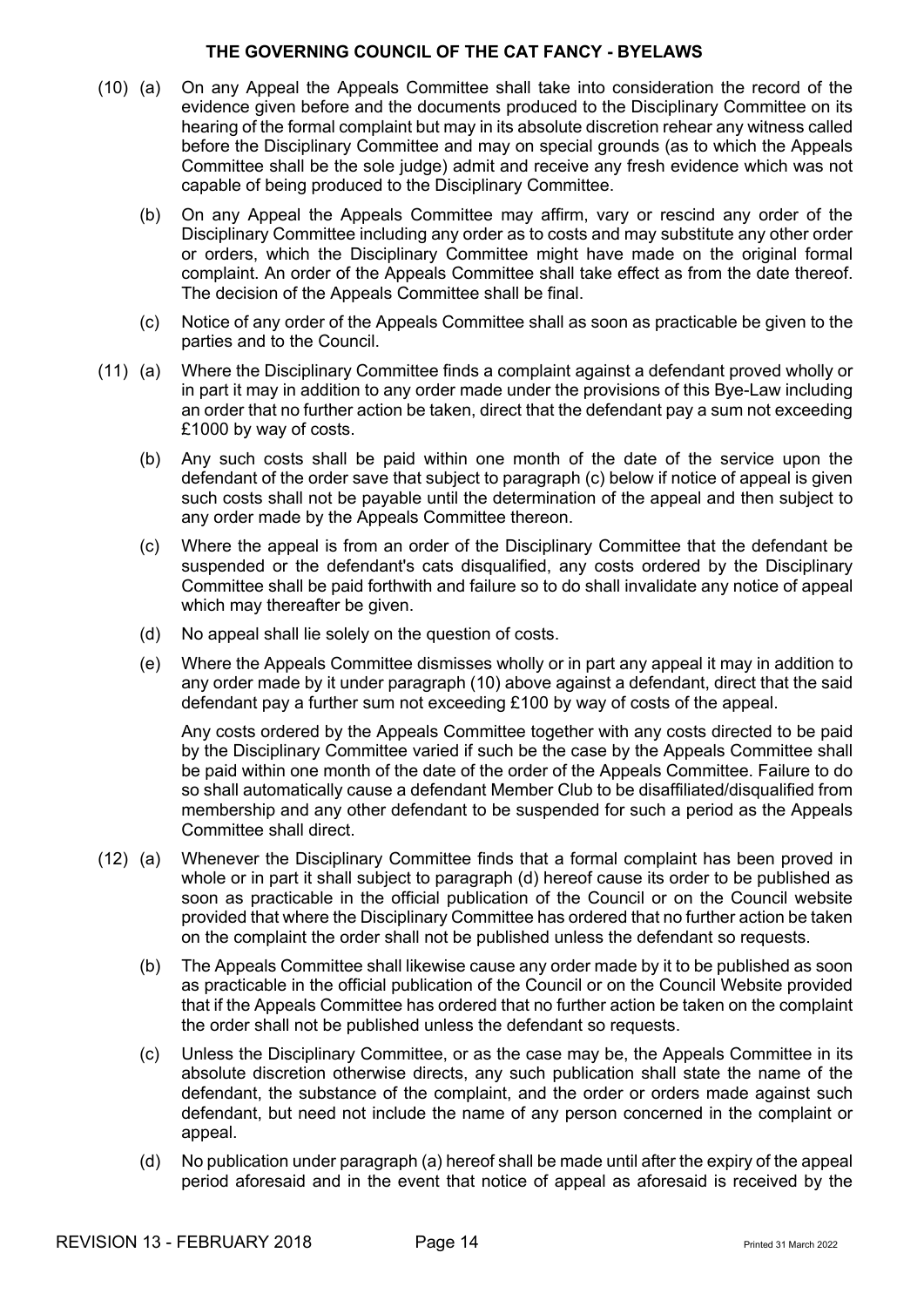- (10) (a) On any Appeal the Appeals Committee shall take into consideration the record of the evidence given before and the documents produced to the Disciplinary Committee on its hearing of the formal complaint but may in its absolute discretion rehear any witness called before the Disciplinary Committee and may on special grounds (as to which the Appeals Committee shall be the sole judge) admit and receive any fresh evidence which was not capable of being produced to the Disciplinary Committee.
	- (b) On any Appeal the Appeals Committee may affirm, vary or rescind any order of the Disciplinary Committee including any order as to costs and may substitute any other order or orders, which the Disciplinary Committee might have made on the original formal complaint. An order of the Appeals Committee shall take effect as from the date thereof. The decision of the Appeals Committee shall be final.
	- (c) Notice of any order of the Appeals Committee shall as soon as practicable be given to the parties and to the Council.
- (11) (a) Where the Disciplinary Committee finds a complaint against a defendant proved wholly or in part it may in addition to any order made under the provisions of this Bye-Law including an order that no further action be taken, direct that the defendant pay a sum not exceeding £1000 by way of costs.
	- (b) Any such costs shall be paid within one month of the date of the service upon the defendant of the order save that subject to paragraph (c) below if notice of appeal is given such costs shall not be payable until the determination of the appeal and then subject to any order made by the Appeals Committee thereon.
	- (c) Where the appeal is from an order of the Disciplinary Committee that the defendant be suspended or the defendant's cats disqualified, any costs ordered by the Disciplinary Committee shall be paid forthwith and failure so to do shall invalidate any notice of appeal which may thereafter be given.
	- (d) No appeal shall lie solely on the question of costs.
	- (e) Where the Appeals Committee dismisses wholly or in part any appeal it may in addition to any order made by it under paragraph (10) above against a defendant, direct that the said defendant pay a further sum not exceeding £100 by way of costs of the appeal.

Any costs ordered by the Appeals Committee together with any costs directed to be paid by the Disciplinary Committee varied if such be the case by the Appeals Committee shall be paid within one month of the date of the order of the Appeals Committee. Failure to do so shall automatically cause a defendant Member Club to be disaffiliated/disqualified from membership and any other defendant to be suspended for such a period as the Appeals Committee shall direct.

- (12) (a) Whenever the Disciplinary Committee finds that a formal complaint has been proved in whole or in part it shall subject to paragraph (d) hereof cause its order to be published as soon as practicable in the official publication of the Council or on the Council website provided that where the Disciplinary Committee has ordered that no further action be taken on the complaint the order shall not be published unless the defendant so requests.
	- (b) The Appeals Committee shall likewise cause any order made by it to be published as soon as practicable in the official publication of the Council or on the Council Website provided that if the Appeals Committee has ordered that no further action be taken on the complaint the order shall not be published unless the defendant so requests.
	- (c) Unless the Disciplinary Committee, or as the case may be, the Appeals Committee in its absolute discretion otherwise directs, any such publication shall state the name of the defendant, the substance of the complaint, and the order or orders made against such defendant, but need not include the name of any person concerned in the complaint or appeal.
	- (d) No publication under paragraph (a) hereof shall be made until after the expiry of the appeal period aforesaid and in the event that notice of appeal as aforesaid is received by the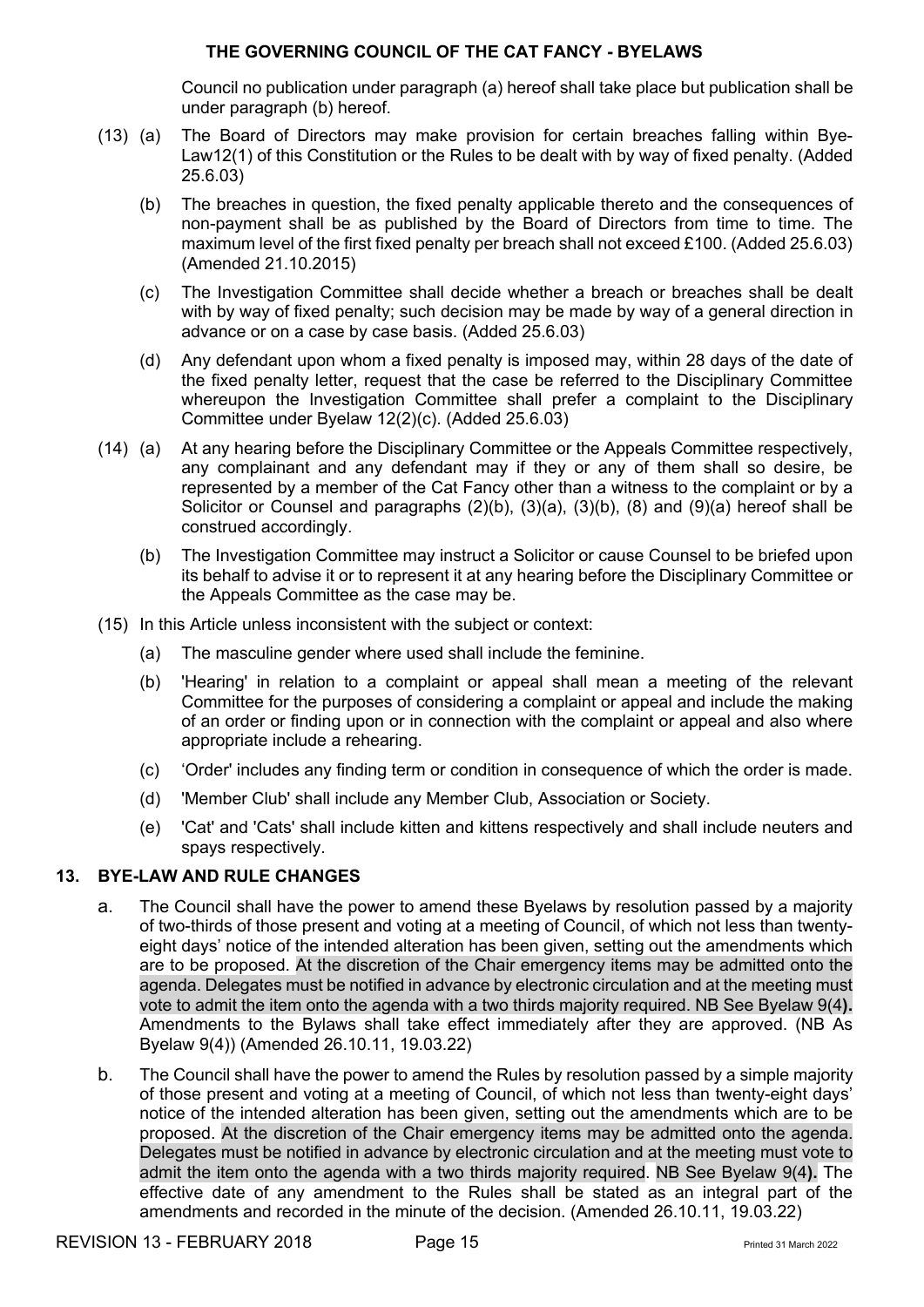Council no publication under paragraph (a) hereof shall take place but publication shall be under paragraph (b) hereof.

- (13) (a) The Board of Directors may make provision for certain breaches falling within Bye-Law12(1) of this Constitution or the Rules to be dealt with by way of fixed penalty. (Added 25.6.03)
	- (b) The breaches in question, the fixed penalty applicable thereto and the consequences of non-payment shall be as published by the Board of Directors from time to time. The maximum level of the first fixed penalty per breach shall not exceed £100. (Added 25.6.03) (Amended 21.10.2015)
	- (c) The Investigation Committee shall decide whether a breach or breaches shall be dealt with by way of fixed penalty; such decision may be made by way of a general direction in advance or on a case by case basis. (Added 25.6.03)
	- (d) Any defendant upon whom a fixed penalty is imposed may, within 28 days of the date of the fixed penalty letter, request that the case be referred to the Disciplinary Committee whereupon the Investigation Committee shall prefer a complaint to the Disciplinary Committee under Byelaw 12(2)(c). (Added 25.6.03)
- (14) (a) At any hearing before the Disciplinary Committee or the Appeals Committee respectively, any complainant and any defendant may if they or any of them shall so desire, be represented by a member of the Cat Fancy other than a witness to the complaint or by a Solicitor or Counsel and paragraphs (2)(b), (3)(a), (3)(b), (8) and (9)(a) hereof shall be construed accordingly.
	- (b) The Investigation Committee may instruct a Solicitor or cause Counsel to be briefed upon its behalf to advise it or to represent it at any hearing before the Disciplinary Committee or the Appeals Committee as the case may be.
- (15) In this Article unless inconsistent with the subject or context:
	- (a) The masculine gender where used shall include the feminine.
	- (b) 'Hearing' in relation to a complaint or appeal shall mean a meeting of the relevant Committee for the purposes of considering a complaint or appeal and include the making of an order or finding upon or in connection with the complaint or appeal and also where appropriate include a rehearing.
	- (c) 'Order' includes any finding term or condition in consequence of which the order is made.
	- (d) 'Member Club' shall include any Member Club, Association or Society.
	- (e) 'Cat' and 'Cats' shall include kitten and kittens respectively and shall include neuters and spays respectively.

#### **13. BYE-LAW AND RULE CHANGES**

- a. The Council shall have the power to amend these Byelaws by resolution passed by a majority of two-thirds of those present and voting at a meeting of Council, of which not less than twentyeight days' notice of the intended alteration has been given, setting out the amendments which are to be proposed. At the discretion of the Chair emergency items may be admitted onto the agenda. Delegates must be notified in advance by electronic circulation and at the meeting must vote to admit the item onto the agenda with a two thirds majority required. NB See Byelaw 9(4**).** Amendments to the Bylaws shall take effect immediately after they are approved. (NB As Byelaw 9(4)) (Amended 26.10.11, 19.03.22)
- b. The Council shall have the power to amend the Rules by resolution passed by a simple majority of those present and voting at a meeting of Council, of which not less than twenty-eight days' notice of the intended alteration has been given, setting out the amendments which are to be proposed. At the discretion of the Chair emergency items may be admitted onto the agenda. Delegates must be notified in advance by electronic circulation and at the meeting must vote to admit the item onto the agenda with a two thirds majority required. NB See Byelaw 9(4**).** The effective date of any amendment to the Rules shall be stated as an integral part of the amendments and recorded in the minute of the decision. (Amended 26.10.11, 19.03.22)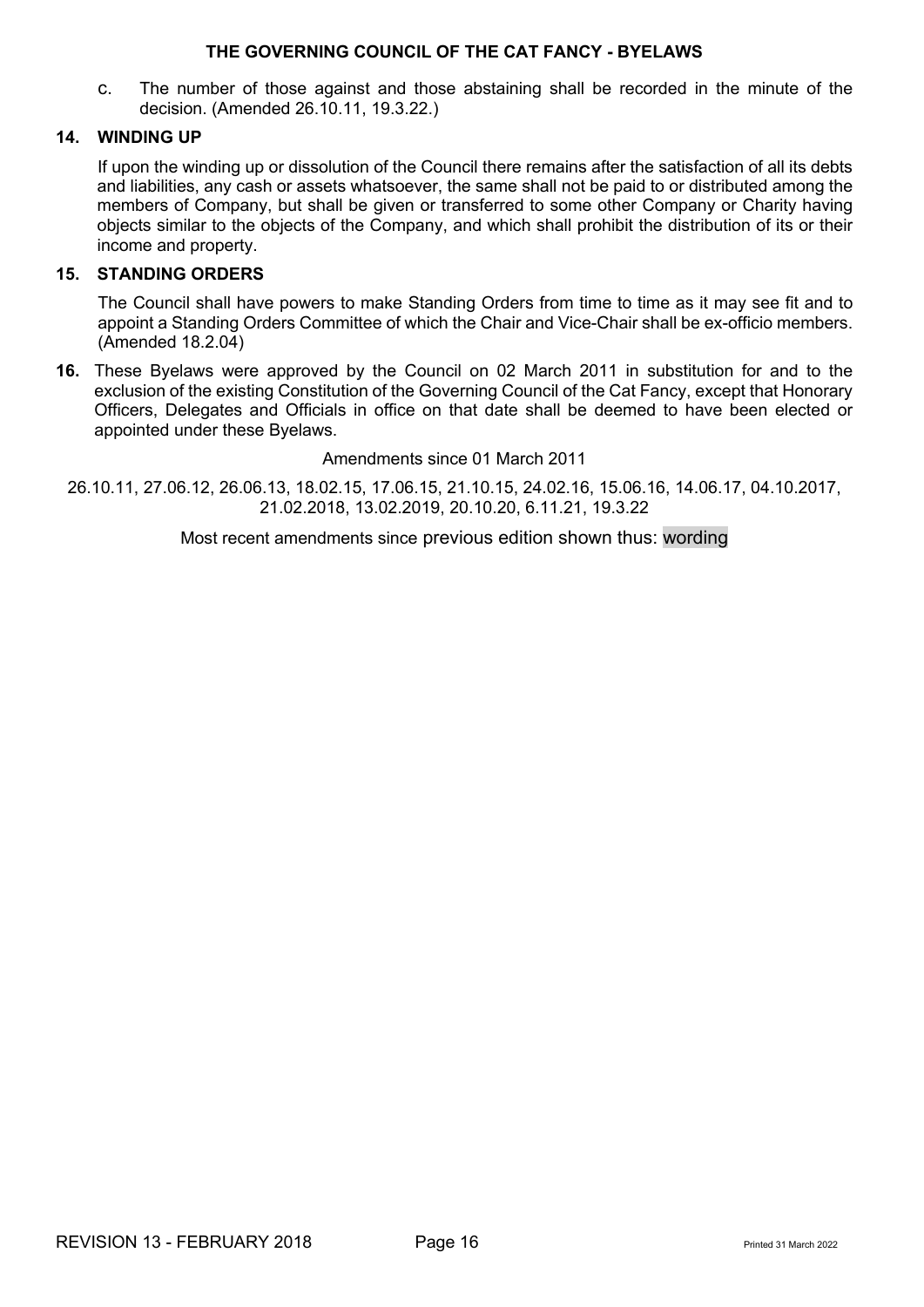c. The number of those against and those abstaining shall be recorded in the minute of the decision. (Amended 26.10.11, 19.3.22.)

#### **14. WINDING UP**

If upon the winding up or dissolution of the Council there remains after the satisfaction of all its debts and liabilities, any cash or assets whatsoever, the same shall not be paid to or distributed among the members of Company, but shall be given or transferred to some other Company or Charity having objects similar to the objects of the Company, and which shall prohibit the distribution of its or their income and property.

#### **15. STANDING ORDERS**

The Council shall have powers to make Standing Orders from time to time as it may see fit and to appoint a Standing Orders Committee of which the Chair and Vice-Chair shall be ex-officio members. (Amended 18.2.04)

**16.** These Byelaws were approved by the Council on 02 March 2011 in substitution for and to the exclusion of the existing Constitution of the Governing Council of the Cat Fancy, except that Honorary Officers, Delegates and Officials in office on that date shall be deemed to have been elected or appointed under these Byelaws.

Amendments since 01 March 2011

26.10.11, 27.06.12, 26.06.13, 18.02.15, 17.06.15, 21.10.15, 24.02.16, 15.06.16, 14.06.17, 04.10.2017, 21.02.2018, 13.02.2019, 20.10.20, 6.11.21, 19.3.22

Most recent amendments since previous edition shown thus: wording